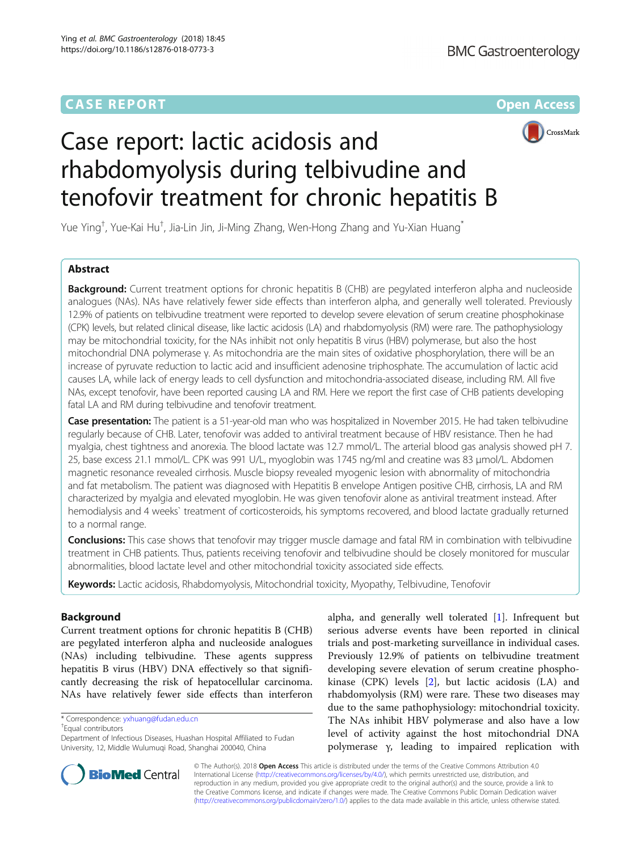# **CASE REPORT CASE REPORT CASE REPORT**



# Case report: lactic acidosis and rhabdomyolysis during telbivudine and tenofovir treatment for chronic hepatitis B

Yue Ying $^\dagger$ , Yue-Kai Hu $^\dagger$ , Jia-Lin Jin, Ji-Ming Zhang, Wen-Hong Zhang and Yu-Xian Huang $^*$ 

# Abstract

**Background:** Current treatment options for chronic hepatitis B (CHB) are pegylated interferon alpha and nucleoside analogues (NAs). NAs have relatively fewer side effects than interferon alpha, and generally well tolerated. Previously 12.9% of patients on telbivudine treatment were reported to develop severe elevation of serum creatine phosphokinase (CPK) levels, but related clinical disease, like lactic acidosis (LA) and rhabdomyolysis (RM) were rare. The pathophysiology may be mitochondrial toxicity, for the NAs inhibit not only hepatitis B virus (HBV) polymerase, but also the host mitochondrial DNA polymerase γ. As mitochondria are the main sites of oxidative phosphorylation, there will be an increase of pyruvate reduction to lactic acid and insufficient adenosine triphosphate. The accumulation of lactic acid causes LA, while lack of energy leads to cell dysfunction and mitochondria-associated disease, including RM. All five NAs, except tenofovir, have been reported causing LA and RM. Here we report the first case of CHB patients developing fatal LA and RM during telbivudine and tenofovir treatment.

Case presentation: The patient is a 51-year-old man who was hospitalized in November 2015. He had taken telbivudine regularly because of CHB. Later, tenofovir was added to antiviral treatment because of HBV resistance. Then he had myalgia, chest tightness and anorexia. The blood lactate was 12.7 mmol/L. The arterial blood gas analysis showed pH 7. 25, base excess 21.1 mmol/L. CPK was 991 U/L, myoglobin was 1745 ng/ml and creatine was 83 μmol/L. Abdomen magnetic resonance revealed cirrhosis. Muscle biopsy revealed myogenic lesion with abnormality of mitochondria and fat metabolism. The patient was diagnosed with Hepatitis B envelope Antigen positive CHB, cirrhosis, LA and RM characterized by myalgia and elevated myoglobin. He was given tenofovir alone as antiviral treatment instead. After hemodialysis and 4 weeks` treatment of corticosteroids, his symptoms recovered, and blood lactate gradually returned to a normal range.

Conclusions: This case shows that tenofovir may trigger muscle damage and fatal RM in combination with telbivudine treatment in CHB patients. Thus, patients receiving tenofovir and telbivudine should be closely monitored for muscular abnormalities, blood lactate level and other mitochondrial toxicity associated side effects.

Keywords: Lactic acidosis, Rhabdomyolysis, Mitochondrial toxicity, Myopathy, Telbivudine, Tenofovir

# Background

Current treatment options for chronic hepatitis B (CHB) are pegylated interferon alpha and nucleoside analogues (NAs) including telbivudine. These agents suppress hepatitis B virus (HBV) DNA effectively so that significantly decreasing the risk of hepatocellular carcinoma. NAs have relatively fewer side effects than interferon

\* Correspondence: [yxhuang@fudan.edu.cn](mailto:yxhuang@fudan.edu.cn) †

Equal contributors

Department of Infectious Diseases, Huashan Hospital Affiliated to Fudan University, 12, Middle Wulumuqi Road, Shanghai 200040, China

alpha, and generally well tolerated [[1](#page-5-0)]. Infrequent but serious adverse events have been reported in clinical trials and post-marketing surveillance in individual cases. Previously 12.9% of patients on telbivudine treatment developing severe elevation of serum creatine phosphokinase (CPK) levels  $[2]$  $[2]$ , but lactic acidosis  $(LA)$  and rhabdomyolysis (RM) were rare. These two diseases may due to the same pathophysiology: mitochondrial toxicity. The NAs inhibit HBV polymerase and also have a low level of activity against the host mitochondrial DNA polymerase γ, leading to impaired replication with



© The Author(s). 2018 Open Access This article is distributed under the terms of the Creative Commons Attribution 4.0 International License [\(http://creativecommons.org/licenses/by/4.0/](http://creativecommons.org/licenses/by/4.0/)), which permits unrestricted use, distribution, and reproduction in any medium, provided you give appropriate credit to the original author(s) and the source, provide a link to the Creative Commons license, and indicate if changes were made. The Creative Commons Public Domain Dedication waiver [\(http://creativecommons.org/publicdomain/zero/1.0/](http://creativecommons.org/publicdomain/zero/1.0/)) applies to the data made available in this article, unless otherwise stated.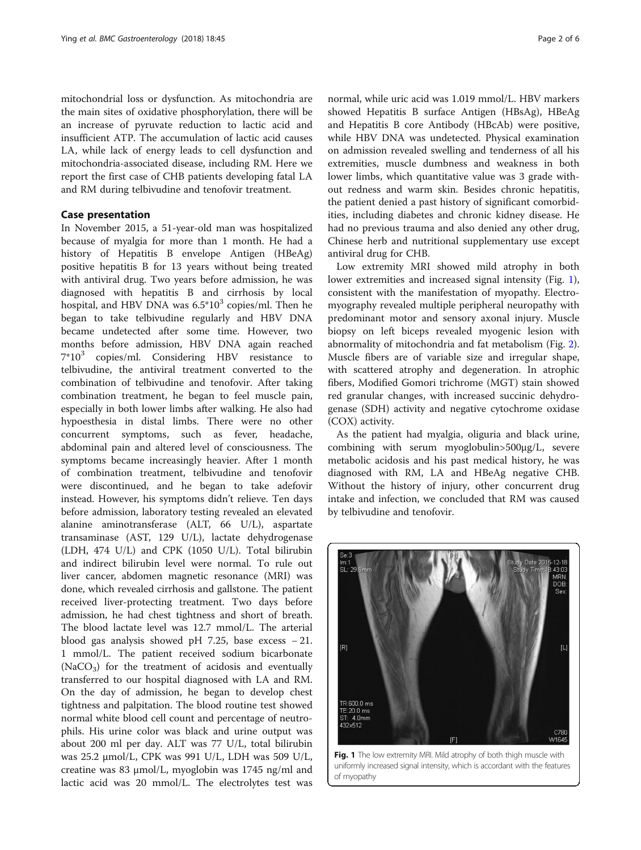mitochondrial loss or dysfunction. As mitochondria are the main sites of oxidative phosphorylation, there will be an increase of pyruvate reduction to lactic acid and insufficient ATP. The accumulation of lactic acid causes LA, while lack of energy leads to cell dysfunction and mitochondria-associated disease, including RM. Here we report the first case of CHB patients developing fatal LA and RM during telbivudine and tenofovir treatment.

## Case presentation

In November 2015, a 51-year-old man was hospitalized because of myalgia for more than 1 month. He had a history of Hepatitis B envelope Antigen (HBeAg) positive hepatitis B for 13 years without being treated with antiviral drug. Two years before admission, he was diagnosed with hepatitis B and cirrhosis by local hospital, and HBV DNA was  $6.5*10^3$  copies/ml. Then he began to take telbivudine regularly and HBV DNA became undetected after some time. However, two months before admission, HBV DNA again reached  $7*10<sup>3</sup>$  copies/ml. Considering HBV resistance to telbivudine, the antiviral treatment converted to the combination of telbivudine and tenofovir. After taking combination treatment, he began to feel muscle pain, especially in both lower limbs after walking. He also had hypoesthesia in distal limbs. There were no other concurrent symptoms, such as fever, headache, abdominal pain and altered level of consciousness. The symptoms became increasingly heavier. After 1 month of combination treatment, telbivudine and tenofovir were discontinued, and he began to take adefovir instead. However, his symptoms didn't relieve. Ten days before admission, laboratory testing revealed an elevated alanine aminotransferase (ALT, 66 U/L), aspartate transaminase (AST, 129 U/L), lactate dehydrogenase (LDH, 474 U/L) and CPK (1050 U/L). Total bilirubin and indirect bilirubin level were normal. To rule out liver cancer, abdomen magnetic resonance (MRI) was done, which revealed cirrhosis and gallstone. The patient received liver-protecting treatment. Two days before admission, he had chest tightness and short of breath. The blood lactate level was 12.7 mmol/L. The arterial blood gas analysis showed pH 7.25, base excess − 21. 1 mmol/L. The patient received sodium bicarbonate  $(NaCO<sub>3</sub>)$  for the treatment of acidosis and eventually transferred to our hospital diagnosed with LA and RM. On the day of admission, he began to develop chest tightness and palpitation. The blood routine test showed normal white blood cell count and percentage of neutrophils. His urine color was black and urine output was about 200 ml per day. ALT was 77 U/L, total bilirubin was 25.2 μmol/L, CPK was 991 U/L, LDH was 509 U/L, creatine was 83 μmol/L, myoglobin was 1745 ng/ml and lactic acid was 20 mmol/L. The electrolytes test was

normal, while uric acid was 1.019 mmol/L. HBV markers showed Hepatitis B surface Antigen (HBsAg), HBeAg and Hepatitis B core Antibody (HBcAb) were positive, while HBV DNA was undetected. Physical examination on admission revealed swelling and tenderness of all his extremities, muscle dumbness and weakness in both lower limbs, which quantitative value was 3 grade without redness and warm skin. Besides chronic hepatitis, the patient denied a past history of significant comorbidities, including diabetes and chronic kidney disease. He had no previous trauma and also denied any other drug, Chinese herb and nutritional supplementary use except antiviral drug for CHB.

Low extremity MRI showed mild atrophy in both lower extremities and increased signal intensity (Fig. 1), consistent with the manifestation of myopathy. Electromyography revealed multiple peripheral neuropathy with predominant motor and sensory axonal injury. Muscle biopsy on left biceps revealed myogenic lesion with abnormality of mitochondria and fat metabolism (Fig. [2](#page-2-0)). Muscle fibers are of variable size and irregular shape, with scattered atrophy and degeneration. In atrophic fibers, Modified Gomori trichrome (MGT) stain showed red granular changes, with increased succinic dehydrogenase (SDH) activity and negative cytochrome oxidase (COX) activity.

As the patient had myalgia, oliguria and black urine, combining with serum myoglobulin>500μg/L, severe metabolic acidosis and his past medical history, he was diagnosed with RM, LA and HBeAg negative CHB. Without the history of injury, other concurrent drug intake and infection, we concluded that RM was caused by telbivudine and tenofovir.



Fig. 1 The low extremity MRI. Mild atrophy of both thigh muscle with uniformly increased signal intensity, which is accordant with the features of myopathy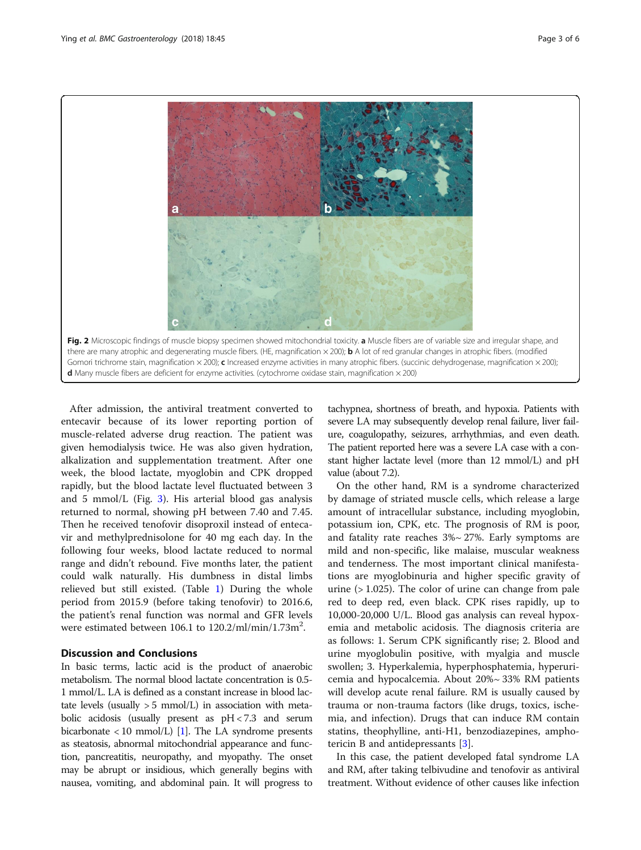<span id="page-2-0"></span>

After admission, the antiviral treatment converted to entecavir because of its lower reporting portion of muscle-related adverse drug reaction. The patient was given hemodialysis twice. He was also given hydration, alkalization and supplementation treatment. After one week, the blood lactate, myoglobin and CPK dropped rapidly, but the blood lactate level fluctuated between 3 and 5 mmol/L (Fig. [3](#page-3-0)). His arterial blood gas analysis returned to normal, showing pH between 7.40 and 7.45. Then he received tenofovir disoproxil instead of entecavir and methylprednisolone for 40 mg each day. In the following four weeks, blood lactate reduced to normal range and didn't rebound. Five months later, the patient could walk naturally. His dumbness in distal limbs relieved but still existed. (Table [1\)](#page-3-0) During the whole period from 2015.9 (before taking tenofovir) to 2016.6, the patient's renal function was normal and GFR levels were estimated between  $106.1$  to  $120.2/\text{ml/min}/1.73 \text{m}^2$ .

# Discussion and Conclusions

In basic terms, lactic acid is the product of anaerobic metabolism. The normal blood lactate concentration is 0.5- 1 mmol/L. LA is defined as a constant increase in blood lactate levels (usually  $> 5$  mmol/L) in association with metabolic acidosis (usually present as  $pH < 7.3$  and serum bicarbonate < 10 mmol/L) [\[1](#page-5-0)]. The LA syndrome presents as steatosis, abnormal mitochondrial appearance and function, pancreatitis, neuropathy, and myopathy. The onset may be abrupt or insidious, which generally begins with nausea, vomiting, and abdominal pain. It will progress to tachypnea, shortness of breath, and hypoxia. Patients with severe LA may subsequently develop renal failure, liver failure, coagulopathy, seizures, arrhythmias, and even death. The patient reported here was a severe LA case with a constant higher lactate level (more than 12 mmol/L) and pH value (about 7.2).

On the other hand, RM is a syndrome characterized by damage of striated muscle cells, which release a large amount of intracellular substance, including myoglobin, potassium ion, CPK, etc. The prognosis of RM is poor, and fatality rate reaches 3%~ 27%. Early symptoms are mild and non-specific, like malaise, muscular weakness and tenderness. The most important clinical manifestations are myoglobinuria and higher specific gravity of urine (> 1.025). The color of urine can change from pale red to deep red, even black. CPK rises rapidly, up to 10,000-20,000 U/L. Blood gas analysis can reveal hypoxemia and metabolic acidosis. The diagnosis criteria are as follows: 1. Serum CPK significantly rise; 2. Blood and urine myoglobulin positive, with myalgia and muscle swollen; 3. Hyperkalemia, hyperphosphatemia, hyperuricemia and hypocalcemia. About 20%~ 33% RM patients will develop acute renal failure. RM is usually caused by trauma or non-trauma factors (like drugs, toxics, ischemia, and infection). Drugs that can induce RM contain statins, theophylline, anti-H1, benzodiazepines, amphotericin B and antidepressants [[3\]](#page-5-0).

In this case, the patient developed fatal syndrome LA and RM, after taking telbivudine and tenofovir as antiviral treatment. Without evidence of other causes like infection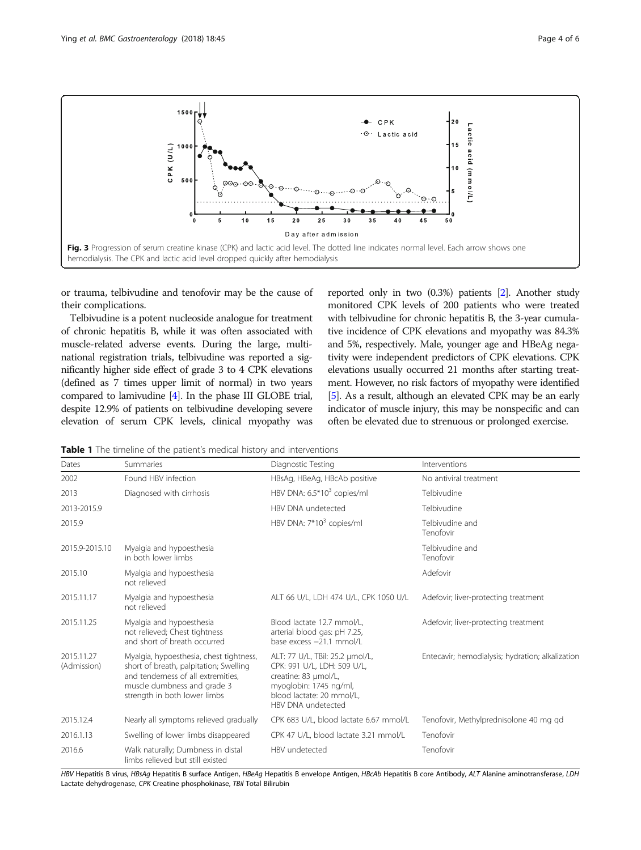<span id="page-3-0"></span>

or trauma, telbivudine and tenofovir may be the cause of their complications.

Telbivudine is a potent nucleoside analogue for treatment of chronic hepatitis B, while it was often associated with muscle-related adverse events. During the large, multinational registration trials, telbivudine was reported a significantly higher side effect of grade 3 to 4 CPK elevations (defined as 7 times upper limit of normal) in two years compared to lamivudine [\[4\]](#page-5-0). In the phase III GLOBE trial, despite 12.9% of patients on telbivudine developing severe elevation of serum CPK levels, clinical myopathy was

reported only in two (0.3%) patients [\[2\]](#page-5-0). Another study monitored CPK levels of 200 patients who were treated with telbivudine for chronic hepatitis B, the 3-year cumulative incidence of CPK elevations and myopathy was 84.3% and 5%, respectively. Male, younger age and HBeAg negativity were independent predictors of CPK elevations. CPK elevations usually occurred 21 months after starting treatment. However, no risk factors of myopathy were identified [[5](#page-5-0)]. As a result, although an elevated CPK may be an early indicator of muscle injury, this may be nonspecific and can often be elevated due to strenuous or prolonged exercise.

**Table 1** The timeline of the patient's medical history and interventions

| Dates                     | Summaries                                                                                                                                                                              | Diagnostic Testing                                                                                                                                                  | Interventions                                    |
|---------------------------|----------------------------------------------------------------------------------------------------------------------------------------------------------------------------------------|---------------------------------------------------------------------------------------------------------------------------------------------------------------------|--------------------------------------------------|
| 2002                      | Found HBV infection                                                                                                                                                                    | HBsAg, HBeAg, HBcAb positive                                                                                                                                        | No antiviral treatment                           |
| 2013                      | Diagnosed with cirrhosis                                                                                                                                                               | HBV DNA: 6.5*10 <sup>3</sup> copies/ml                                                                                                                              | Telbivudine                                      |
| 2013-2015.9               |                                                                                                                                                                                        | HBV DNA undetected                                                                                                                                                  | Telbivudine                                      |
| 2015.9                    |                                                                                                                                                                                        | HBV DNA: 7*10 <sup>3</sup> copies/ml                                                                                                                                | Telbivudine and<br>Tenofovir                     |
| 2015.9-2015.10            | Myalgia and hypoesthesia<br>in both lower limbs                                                                                                                                        |                                                                                                                                                                     | Telbivudine and<br>Tenofovir                     |
| 2015.10                   | Myalgia and hypoesthesia<br>not relieved                                                                                                                                               |                                                                                                                                                                     | Adefovir                                         |
| 2015.11.17                | Myalgia and hypoesthesia<br>not relieved                                                                                                                                               | ALT 66 U/L, LDH 474 U/L, CPK 1050 U/L                                                                                                                               | Adefovir; liver-protecting treatment             |
| 2015.11.25                | Myalgia and hypoesthesia<br>not relieved; Chest tightness<br>and short of breath occurred                                                                                              | Blood lactate 12.7 mmol/L,<br>arterial blood gas: pH 7.25,<br>base excess -21.1 mmol/L                                                                              | Adefovir; liver-protecting treatment             |
| 2015.11.27<br>(Admission) | Myalgia, hypoesthesia, chest tightness,<br>short of breath, palpitation; Swelling<br>and tenderness of all extremities,<br>muscle dumbness and grade 3<br>strength in both lower limbs | ALT: 77 U/L, TBil: 25.2 µmol/L,<br>CPK: 991 U/L, LDH: 509 U/L,<br>creatine: 83 µmol/L,<br>myoglobin: 1745 ng/ml,<br>blood lactate: 20 mmol/L,<br>HBV DNA undetected | Entecavir; hemodialysis; hydration; alkalization |
| 2015.12.4                 | Nearly all symptoms relieved gradually                                                                                                                                                 | CPK 683 U/L, blood lactate 6.67 mmol/L                                                                                                                              | Tenofovir, Methylprednisolone 40 mg gd           |
| 2016.1.13                 | Swelling of lower limbs disappeared                                                                                                                                                    | CPK 47 U/L, blood lactate 3.21 mmol/L                                                                                                                               | Tenofovir                                        |
| 2016.6                    | Walk naturally; Dumbness in distal<br>limbs relieved but still existed                                                                                                                 | HBV undetected                                                                                                                                                      | Tenofovir                                        |

HBV Hepatitis B virus, HBsAg Hepatitis B surface Antigen, HBeAg Hepatitis B envelope Antigen, HBcAb Hepatitis B core Antibody, ALT Alanine aminotransferase, LDH Lactate dehydrogenase, CPK Creatine phosphokinase, TBil Total Bilirubin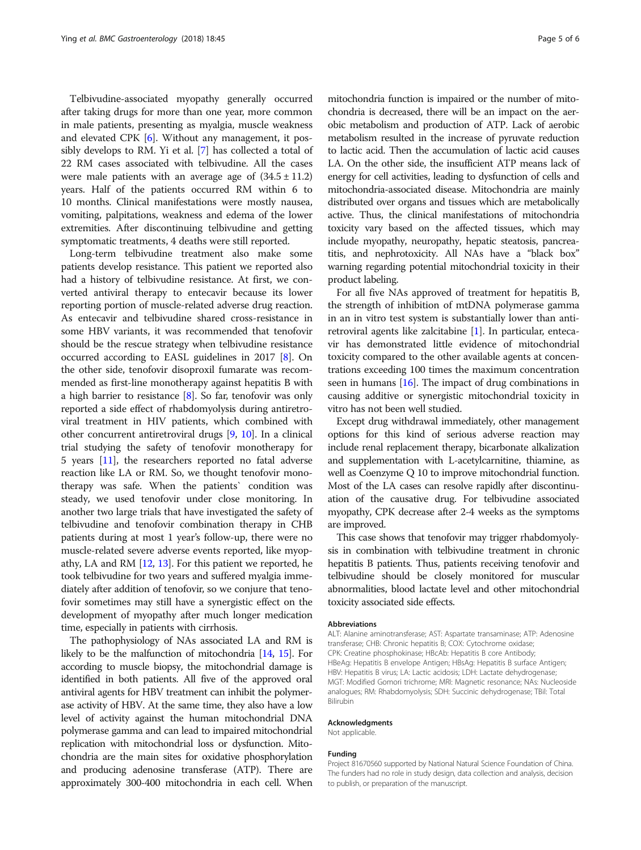Telbivudine-associated myopathy generally occurred after taking drugs for more than one year, more common in male patients, presenting as myalgia, muscle weakness and elevated CPK [[6\]](#page-5-0). Without any management, it possibly develops to RM. Yi et al. [\[7](#page-5-0)] has collected a total of 22 RM cases associated with telbivudine. All the cases were male patients with an average age of  $(34.5 \pm 11.2)$ years. Half of the patients occurred RM within 6 to 10 months. Clinical manifestations were mostly nausea, vomiting, palpitations, weakness and edema of the lower extremities. After discontinuing telbivudine and getting symptomatic treatments, 4 deaths were still reported.

Long-term telbivudine treatment also make some patients develop resistance. This patient we reported also had a history of telbivudine resistance. At first, we converted antiviral therapy to entecavir because its lower reporting portion of muscle-related adverse drug reaction. As entecavir and telbivudine shared cross-resistance in some HBV variants, it was recommended that tenofovir should be the rescue strategy when telbivudine resistance occurred according to EASL guidelines in 2017 [\[8](#page-5-0)]. On the other side, tenofovir disoproxil fumarate was recommended as first-line monotherapy against hepatitis B with a high barrier to resistance  $[8]$ . So far, tenofovir was only reported a side effect of rhabdomyolysis during antiretroviral treatment in HIV patients, which combined with other concurrent antiretroviral drugs [[9](#page-5-0), [10\]](#page-5-0). In a clinical trial studying the safety of tenofovir monotherapy for 5 years [\[11\]](#page-5-0), the researchers reported no fatal adverse reaction like LA or RM. So, we thought tenofovir monotherapy was safe. When the patients` condition was steady, we used tenofovir under close monitoring. In another two large trials that have investigated the safety of telbivudine and tenofovir combination therapy in CHB patients during at most 1 year's follow-up, there were no muscle-related severe adverse events reported, like myopathy, LA and RM [\[12,](#page-5-0) [13](#page-5-0)]. For this patient we reported, he took telbivudine for two years and suffered myalgia immediately after addition of tenofovir, so we conjure that tenofovir sometimes may still have a synergistic effect on the development of myopathy after much longer medication time, especially in patients with cirrhosis.

The pathophysiology of NAs associated LA and RM is likely to be the malfunction of mitochondria [[14](#page-5-0), [15](#page-5-0)]. For according to muscle biopsy, the mitochondrial damage is identified in both patients. All five of the approved oral antiviral agents for HBV treatment can inhibit the polymerase activity of HBV. At the same time, they also have a low level of activity against the human mitochondrial DNA polymerase gamma and can lead to impaired mitochondrial replication with mitochondrial loss or dysfunction. Mitochondria are the main sites for oxidative phosphorylation and producing adenosine transferase (ATP). There are approximately 300-400 mitochondria in each cell. When

mitochondria function is impaired or the number of mitochondria is decreased, there will be an impact on the aerobic metabolism and production of ATP. Lack of aerobic metabolism resulted in the increase of pyruvate reduction to lactic acid. Then the accumulation of lactic acid causes LA. On the other side, the insufficient ATP means lack of energy for cell activities, leading to dysfunction of cells and mitochondria-associated disease. Mitochondria are mainly distributed over organs and tissues which are metabolically active. Thus, the clinical manifestations of mitochondria toxicity vary based on the affected tissues, which may include myopathy, neuropathy, hepatic steatosis, pancreatitis, and nephrotoxicity. All NAs have a "black box" warning regarding potential mitochondrial toxicity in their product labeling.

For all five NAs approved of treatment for hepatitis B, the strength of inhibition of mtDNA polymerase gamma in an in vitro test system is substantially lower than antiretroviral agents like zalcitabine [[1](#page-5-0)]. In particular, entecavir has demonstrated little evidence of mitochondrial toxicity compared to the other available agents at concentrations exceeding 100 times the maximum concentration seen in humans  $[16]$ . The impact of drug combinations in causing additive or synergistic mitochondrial toxicity in vitro has not been well studied.

Except drug withdrawal immediately, other management options for this kind of serious adverse reaction may include renal replacement therapy, bicarbonate alkalization and supplementation with L-acetylcarnitine, thiamine, as well as Coenzyme Q 10 to improve mitochondrial function. Most of the LA cases can resolve rapidly after discontinuation of the causative drug. For telbivudine associated myopathy, CPK decrease after 2-4 weeks as the symptoms are improved.

This case shows that tenofovir may trigger rhabdomyolysis in combination with telbivudine treatment in chronic hepatitis B patients. Thus, patients receiving tenofovir and telbivudine should be closely monitored for muscular abnormalities, blood lactate level and other mitochondrial toxicity associated side effects.

#### Abbreviations

ALT: Alanine aminotransferase; AST: Aspartate transaminase; ATP: Adenosine transferase; CHB: Chronic hepatitis B; COX: Cytochrome oxidase; CPK: Creatine phosphokinase; HBcAb: Hepatitis B core Antibody; HBeAg: Hepatitis B envelope Antigen; HBsAg: Hepatitis B surface Antigen; HBV: Hepatitis B virus; LA: Lactic acidosis; LDH: Lactate dehydrogenase; MGT: Modified Gomori trichrome; MRI: Magnetic resonance; NAs: Nucleoside analogues; RM: Rhabdomyolysis; SDH: Succinic dehydrogenase; TBil: Total Bilirubin

#### Acknowledgments

Not applicable.

## Funding

Project 81670560 supported by National Natural Science Foundation of China. The funders had no role in study design, data collection and analysis, decision to publish, or preparation of the manuscript.